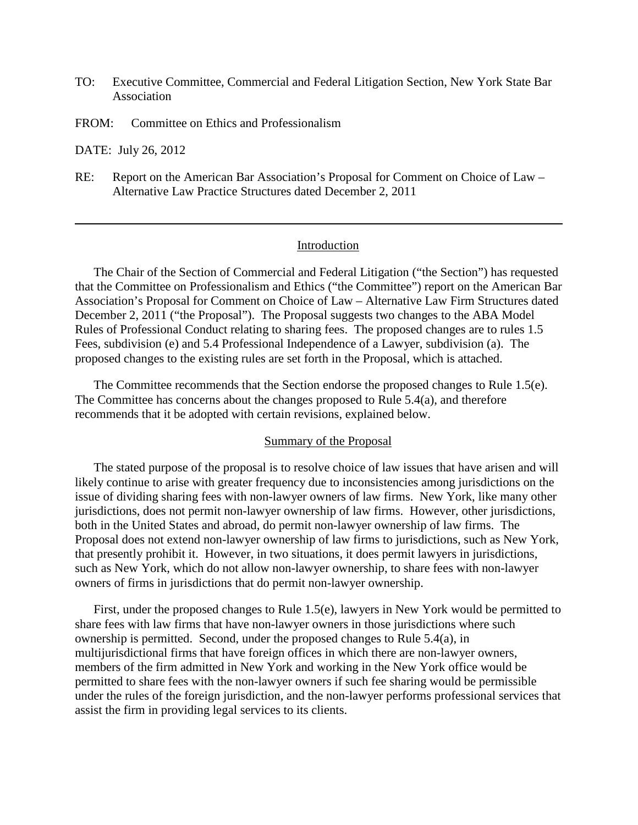- TO: Executive Committee, Commercial and Federal Litigation Section, New York State Bar Association
- FROM: Committee on Ethics and Professionalism

DATE: July 26, 2012

RE: Report on the American Bar Association's Proposal for Comment on Choice of Law – Alternative Law Practice Structures dated December 2, 2011

#### Introduction

The Chair of the Section of Commercial and Federal Litigation ("the Section") has requested that the Committee on Professionalism and Ethics ("the Committee") report on the American Bar Association's Proposal for Comment on Choice of Law – Alternative Law Firm Structures dated December 2, 2011 ("the Proposal"). The Proposal suggests two changes to the ABA Model Rules of Professional Conduct relating to sharing fees. The proposed changes are to rules 1.5 Fees, subdivision (e) and 5.4 Professional Independence of a Lawyer, subdivision (a). The proposed changes to the existing rules are set forth in the Proposal, which is attached.

The Committee recommends that the Section endorse the proposed changes to Rule 1.5(e). The Committee has concerns about the changes proposed to Rule 5.4(a), and therefore recommends that it be adopted with certain revisions, explained below.

### Summary of the Proposal

The stated purpose of the proposal is to resolve choice of law issues that have arisen and will likely continue to arise with greater frequency due to inconsistencies among jurisdictions on the issue of dividing sharing fees with non-lawyer owners of law firms. New York, like many other jurisdictions, does not permit non-lawyer ownership of law firms. However, other jurisdictions, both in the United States and abroad, do permit non-lawyer ownership of law firms. The Proposal does not extend non-lawyer ownership of law firms to jurisdictions, such as New York, that presently prohibit it. However, in two situations, it does permit lawyers in jurisdictions, such as New York, which do not allow non-lawyer ownership, to share fees with non-lawyer owners of firms in jurisdictions that do permit non-lawyer ownership.

First, under the proposed changes to Rule 1.5(e), lawyers in New York would be permitted to share fees with law firms that have non-lawyer owners in those jurisdictions where such ownership is permitted. Second, under the proposed changes to Rule 5.4(a), in multijurisdictional firms that have foreign offices in which there are non-lawyer owners, members of the firm admitted in New York and working in the New York office would be permitted to share fees with the non-lawyer owners if such fee sharing would be permissible under the rules of the foreign jurisdiction, and the non-lawyer performs professional services that assist the firm in providing legal services to its clients.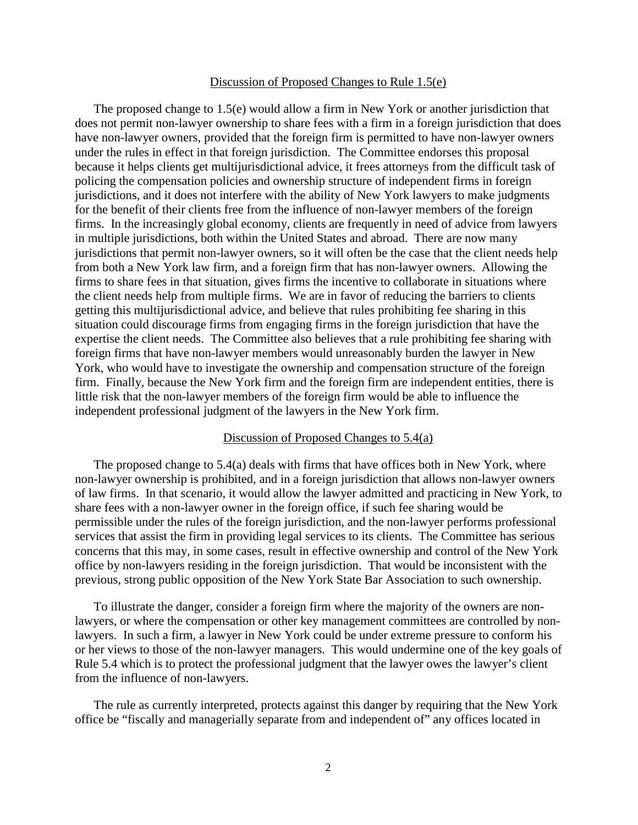#### Discussion of Proposed Changes to Rule 1.5(e)

The proposed change to 1.5(e) would allow a firm in New York or another jurisdiction that does not permit non-lawyer ownership to share fees with a firm in a foreign jurisdiction that does have non-lawyer owners, provided that the foreign firm is permitted to have non-lawyer owners under the rules in effect in that foreign jurisdiction. The Committee endorses this proposal because it helps clients get multijurisdictional advice, it frees attorneys from the difficult task of policing the compensation policies and ownership structure of independent firms in foreign jurisdictions, and it does not interfere with the ability of New York lawyers to make judgments for the benefit of their clients free from the influence of non-lawyer members of the foreign firms. In the increasingly global economy, clients are frequently in need of advice from lawyers in multiple jurisdictions, both within the United States and abroad. There are now many jurisdictions that permit non-lawyer owners, so it will often be the case that the client needs help from both a New York law firm, and a foreign firm that has non-lawyer owners. Allowing the firms to share fees in that situation, gives firms the incentive to collaborate in situations where the client needs help from multiple firms. We are in favor of reducing the barriers to clients getting this multijurisdictional advice, and believe that rules prohibiting fee sharing in this situation could discourage firms from engaging firms in the foreign jurisdiction that have the expertise the client needs. The Committee also believes that a rule prohibiting fee sharing with foreign firms that have non-lawyer members would unreasonably burden the lawyer in New York, who would have to investigate the ownership and compensation structure of the foreign firm. Finally, because the New York firm and the foreign firm are independent entities, there is little risk that the non-lawyer members of the foreign firm would be able to influence the independent professional judgment of the lawyers in the New York firm.

## Discussion of Proposed Changes to 5.4(a)

The proposed change to 5.4(a) deals with firms that have offices both in New York, where non-lawyer ownership is prohibited, and in a foreign jurisdiction that allows non-lawyer owners of law firms. In that scenario, it would allow the lawyer admitted and practicing in New York, to share fees with a non-lawyer owner in the foreign office, if such fee sharing would be permissible under the rules of the foreign jurisdiction, and the non-lawyer performs professional services that assist the firm in providing legal services to its clients. The Committee has serious concerns that this may, in some cases, result in effective ownership and control of the New York office by non-lawyers residing in the foreign jurisdiction. That would be inconsistent with the previous, strong public opposition of the New York State Bar Association to such ownership.

To illustrate the danger, consider a foreign firm where the majority of the owners are nonlawyers, or where the compensation or other key management committees are controlled by nonlawyers. In such a firm, a lawyer in New York could be under extreme pressure to conform his or her views to those of the non-lawyer managers. This would undermine one of the key goals of Rule 5.4 which is to protect the professional judgment that the lawyer owes the lawyer's client from the influence of non-lawyers.

The rule as currently interpreted, protects against this danger by requiring that the New York office be "fiscally and managerially separate from and independent of" any offices located in